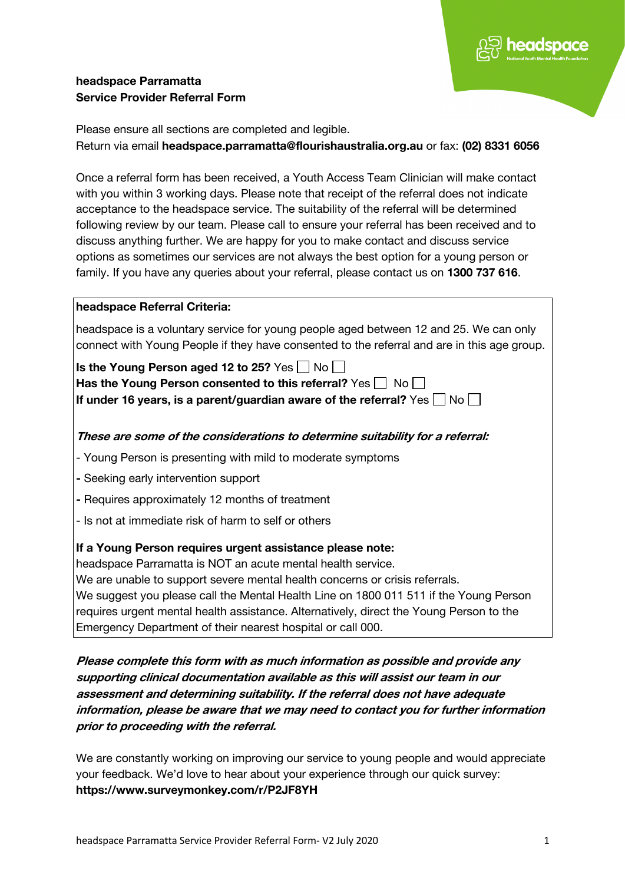

# **headspace Parramatta Service Provider Referral Form**

Please ensure all sections are completed and legible. Return via email **headspace.parramatta@flourishaustralia.org.au** or fax: **(02) 8331 6056**

Once a referral form has been received, a Youth Access Team Clinician will make contact with you within 3 working days. Please note that receipt of the referral does not indicate acceptance to the headspace service. The suitability of the referral will be determined following review by our team. Please call to ensure your referral has been received and to discuss anything further. We are happy for you to make contact and discuss service options as sometimes our services are not always the best option for a young person or family. If you have any queries about your referral, please contact us on **1300 737 616**.

#### **headspace Referral Criteria:**

headspace is a voluntary service for young people aged between 12 and 25. We can only connect with Young People if they have consented to the referral and are in this age group.

**Is the Young Person aged 12 to 25?** Yes  $\Box$  No  $\Box$ 

**Has the Young Person consented to this referral?** Yes  $\Box$  No **If under 16 years, is a parent/guardian aware of the referral?** Yes  $\Box$  No  $\Box$ 

# **These are some of the considerations to determine suitability for <sup>a</sup> referral:**

- Young Person is presenting with mild to moderate symptoms
- **-** Seeking early intervention support
- **-** Requires approximately 12 months of treatment
- Is not at immediate risk of harm to self or others

### **If a Young Person requires urgent assistance please note:**

headspace Parramatta is NOT an acute mental health service.

We are unable to support severe mental health concerns or crisis referrals.

We suggest you please call the Mental Health Line on 1800 011 511 if the Young Person requires urgent mental health assistance. Alternatively, direct the Young Person to the Emergency Department of their nearest hospital or call 000.

**Please complete this form with as much information as possible and provide any supporting clinical documentation available as this will assist our team in our assessment and determining suitability. If the referral does not have adequate information, please be aware that we may need to contact you for further information prior to proceeding with the referral.** 

We are constantly working on improving our service to young people and would appreciate your feedback. We'd love to hear about your experience through our quick survey: **https://www.surveymonkey.com/r/P2JF8YH**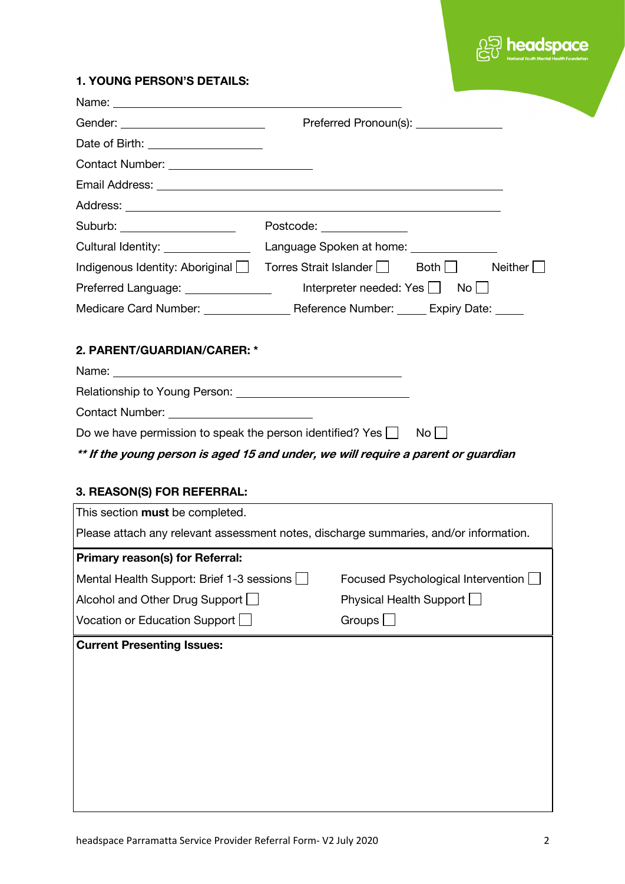

# **1. YOUNG PERSON'S DETAILS:**

| Gender: ____________________________                     | Preferred Pronoun(s): ______________                                                  |
|----------------------------------------------------------|---------------------------------------------------------------------------------------|
| Date of Birth: _____________________                     |                                                                                       |
| Contact Number: __________________________               |                                                                                       |
|                                                          |                                                                                       |
|                                                          |                                                                                       |
| Suburb: ______________________                           | Postcode: _____________                                                               |
|                                                          |                                                                                       |
| Indigenous Identity: Aboriginal   Torres Strait Islander | Both $\Box$<br>Neither <b>L</b>                                                       |
| Preferred Language: ________________                     | Interpreter needed: Yes $\Box$ No $\Box$                                              |
|                                                          |                                                                                       |
| 2. PARENT/GUARDIAN/CARER: *                              |                                                                                       |
|                                                          |                                                                                       |
|                                                          |                                                                                       |
| Contact Number: __________________________               |                                                                                       |
|                                                          | Do we have permission to speak the person identified? Yes $\Box$ No $\Box$            |
|                                                          | ** If the young person is aged 15 and under, we will require a parent or guardian     |
|                                                          |                                                                                       |
|                                                          |                                                                                       |
| 3. REASON(S) FOR REFERRAL:                               |                                                                                       |
| This section must be completed.                          |                                                                                       |
|                                                          | Please attach any relevant assessment notes, discharge summaries, and/or information. |
| <b>Primary reason(s) for Referral:</b>                   |                                                                                       |
| Mental Health Support: Brief 1-3 sessions                | Focused Psychological Intervention [                                                  |
| Alcohol and Other Drug Support $\Box$                    | Physical Health Support                                                               |
| Vocation or Education Support                            | Groups $\Box$                                                                         |
| <b>Current Presenting Issues:</b>                        |                                                                                       |
|                                                          |                                                                                       |
|                                                          |                                                                                       |
|                                                          |                                                                                       |
|                                                          |                                                                                       |
|                                                          |                                                                                       |
|                                                          |                                                                                       |

 $\overline{\phantom{a}}$